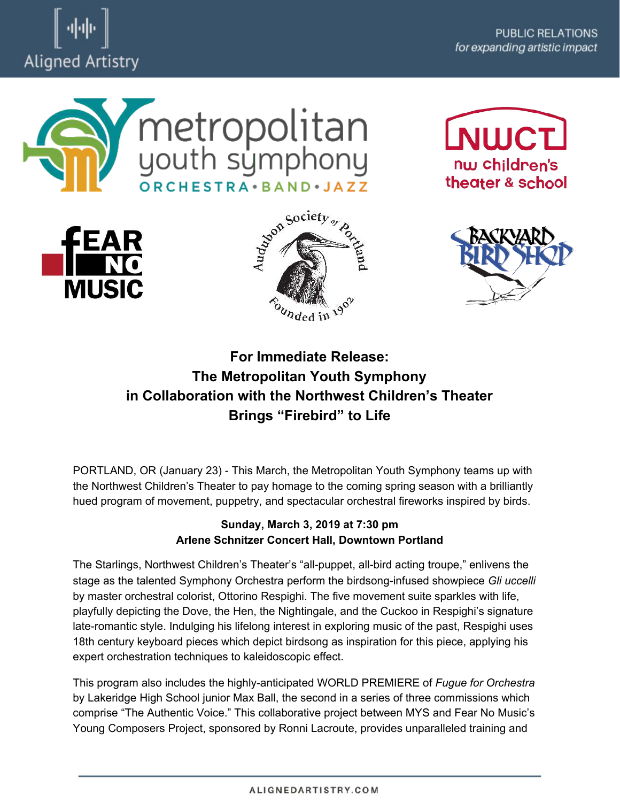





**NWCT** 







## **For Immediate Release: The Metropolitan Youth Symphony in Collaboration with the Northwest Children's Theater Brings "Firebird" to Life**

PORTLAND, OR (January 23) - This March, the Metropolitan Youth Symphony teams up with the Northwest Children's Theater to pay homage to the coming spring season with a brilliantly hued program of movement, puppetry, and spectacular orchestral fireworks inspired by birds.

## **Sunday, March 3, 2019 at 7:30 pm Arlene Schnitzer Concert Hall, Downtown Portland**

The Starlings, Northwest Children's Theater's "all-puppet, all-bird acting troupe," enlivens the stage as the talented Symphony Orchestra perform the birdsong-infused showpiece *Gli uccelli* by master orchestral colorist, Ottorino Respighi. The five movement suite sparkles with life, playfully depicting the Dove, the Hen, the Nightingale, and the Cuckoo in Respighi's signature late-romantic style. Indulging his lifelong interest in exploring music of the past, Respighi uses 18th century keyboard pieces which depict birdsong as inspiration for this piece, applying his expert orchestration techniques to kaleidoscopic effect.

This program also includes the highly-anticipated WORLD PREMIERE of *Fugue for Orchestra* by Lakeridge High School junior Max Ball, the second in a series of three commissions which comprise "The Authentic Voice." This collaborative project between MYS and Fear No Music's Young Composers Project, sponsored by Ronni Lacroute, provides unparalleled training and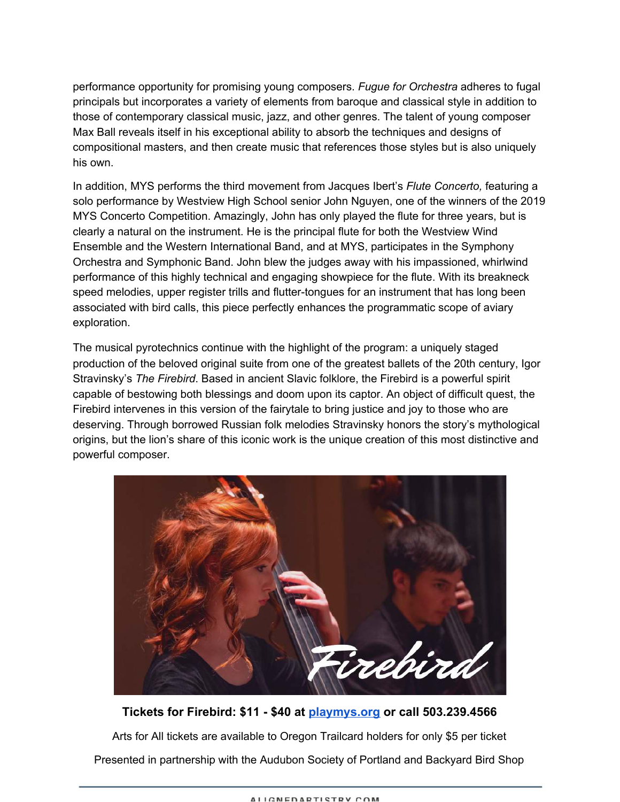performance opportunity for promising young composers. *Fugue for Orchestra* adheres to fugal principals but incorporates a variety of elements from baroque and classical style in addition to those of contemporary classical music, jazz, and other genres. The talent of young composer Max Ball reveals itself in his exceptional ability to absorb the techniques and designs of compositional masters, and then create music that references those styles but is also uniquely his own.

In addition, MYS performs the third movement from Jacques Ibert's *Flute Concerto,* featuring a solo performance by Westview High School senior John Nguyen, one of the winners of the 2019 MYS Concerto Competition. Amazingly, John has only played the flute for three years, but is clearly a natural on the instrument. He is the principal flute for both the Westview Wind Ensemble and the Western International Band, and at MYS, participates in the Symphony Orchestra and Symphonic Band. John blew the judges away with his impassioned, whirlwind performance of this highly technical and engaging showpiece for the flute. With its breakneck speed melodies, upper register trills and flutter-tongues for an instrument that has long been associated with bird calls, this piece perfectly enhances the programmatic scope of aviary exploration.

The musical pyrotechnics continue with the highlight of the program: a uniquely staged production of the beloved original suite from one of the greatest ballets of the 20th century, Igor Stravinsky's *The Firebird*. Based in ancient Slavic folklore, the Firebird is a powerful spirit capable of bestowing both blessings and doom upon its captor. An object of difficult quest, the Firebird intervenes in this version of the fairytale to bring justice and joy to those who are deserving. Through borrowed Russian folk melodies Stravinsky honors the story's mythological origins, but the lion's share of this iconic work is the unique creation of this most distinctive and powerful composer.



**Tickets for Firebird: \$11 - \$40 at [playmys.org](https://playmys.org/concerts/) or call 503.239.4566** Arts for All tickets are available to Oregon Trailcard holders for only \$5 per ticket

Presented in partnership with the Audubon Society of Portland and Backyard Bird Shop